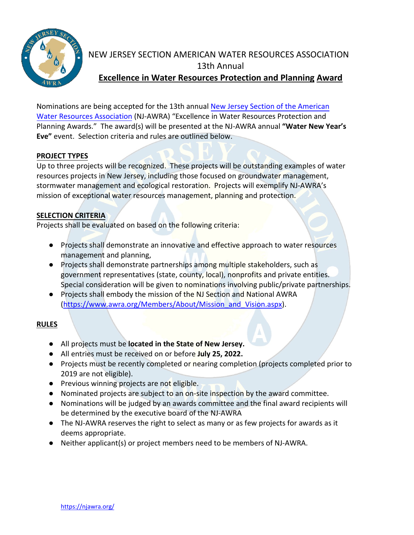

# NEW JERSEY SECTION AMERICAN WATER RESOURCES ASSOCIATION 13th Annual **Excellence in Water Resources Protection and Planning Award**

Nominations are being accepted for the 13th annual [New Jersey Section of the](https://njawra.org/) American [Water Resources Association](https://njawra.org/) (NJ-AWRA) "Excellence in Water Resources Protection and Planning Awards." The award(s) will be presented at the NJ-AWRA annual **"Water New Year's Eve"** event. Selection criteria and rules are outlined below.

#### **PROJECT TYPES**

Up to three projects will be recognized. These projects will be outstanding examples of water resources projects in New Jersey, including those focused on groundwater management, stormwater management and ecological restoration. Projects will exemplify NJ-AWRA's mission of exceptional water resources management, planning and protection.

### **SELECTION CRITERIA**

Projects shall be evaluated on based on the following criteria:

- Projects shall demonstrate an innovative and effective approach to water resources management and planning,
- Projects shall demonstrate partnerships among multiple stakeholders, such as government representatives (state, county, local), nonprofits and private entities. Special consideration will be given to nominations involving public/private partnerships.
- Projects shall embody the mission of the NJ Section and National AWRA (https://www.awra.org/Members/About/Mission and Vision.aspx).

#### **RULES**

- All projects must be **located in the State of New Jersey.**
- All entries must be received on or before **July 25, 2022.**
- Projects must be recently completed or nearing completion (projects completed prior to 2019 are not eligible).
- Previous winning projects are not eligible.
- Nominated projects are subject to an on-site inspection by the award committee.
- Nominations will be judged by an awards committee and the final award recipients will be determined by the executive board of the NJ-AWRA
- The NJ-AWRA reserves the right to select as many or as few projects for awards as it deems appropriate.
- Neither applicant(s) or project members need to be members of NJ-AWRA.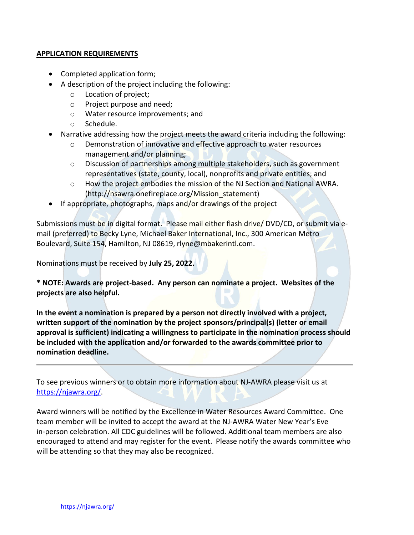#### **APPLICATION REQUIREMENTS**

- Completed application form;
- A description of the project including the following:
	- o Location of project;
	- o Project purpose and need;
	- o Water resource improvements; and
	- o Schedule.
- Narrative addressing how the project meets the award criteria including the following:
	- o Demonstration of innovative and effective approach to water resources management and/or planning;
	- $\circ$  Discussion of partnerships among multiple stakeholders, such as government representatives (state, county, local), nonprofits and private entities; and
	- o How the project embodies the mission of the NJ Section and National AWRA. (http://nsawra.onefireplace.org/Mission\_statement)
- If appropriate, photographs, maps and/or drawings of the project

Submissions must be in digital format. Please mail either flash drive/ DVD/CD, or submit via email (preferred) to Becky Lyne, Michael Baker International, Inc., 300 American Metro Boulevard, Suite 154, Hamilton, NJ 08619, rlyne@mbakerintl.com.

Nominations must be received by **July 25, 2022.**

**\* NOTE: Awards are project-based. Any person can nominate a project. Websites of the projects are also helpful.**

**In the event a nomination is prepared by a person not directly involved with a project, written support of the nomination by the project sponsors/principal(s) (letter or email approval is sufficient) indicating a willingness to participate in the nomination process should be included with the application and/or forwarded to the awards committee prior to nomination deadline.** 

To see previous winners or to obtain more information about NJ-AWRA please visit us at [https://njawra.org/.](https://njawra.org/)

Award winners will be notified by the Excellence in Water Resources Award Committee. One team member will be invited to accept the award at the NJ-AWRA Water New Year's Eve in-person celebration. All CDC guidelines will be followed. Additional team members are also encouraged to attend and may register for the event. Please notify the awards committee who will be attending so that they may also be recognized.